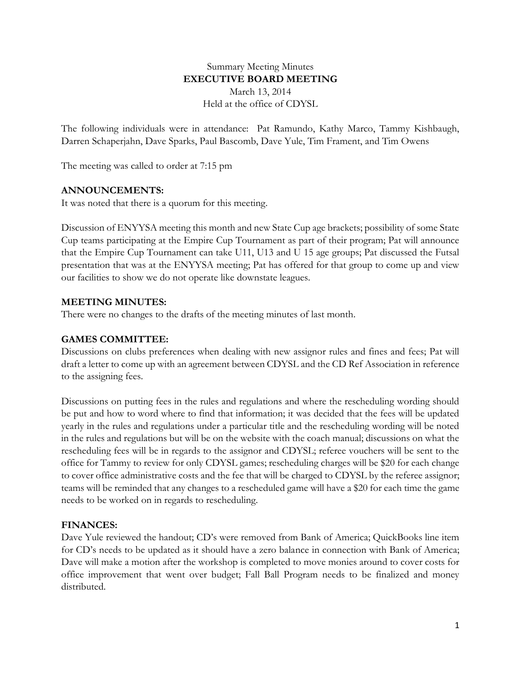## Summary Meeting Minutes **EXECUTIVE BOARD MEETING** March 13, 2014 Held at the office of CDYSL

The following individuals were in attendance: Pat Ramundo, Kathy Marco, Tammy Kishbaugh, Darren Schaperjahn, Dave Sparks, Paul Bascomb, Dave Yule, Tim Frament, and Tim Owens

The meeting was called to order at 7:15 pm

#### **ANNOUNCEMENTS:**

It was noted that there is a quorum for this meeting.

Discussion of ENYYSA meeting this month and new State Cup age brackets; possibility of some State Cup teams participating at the Empire Cup Tournament as part of their program; Pat will announce that the Empire Cup Tournament can take U11, U13 and U 15 age groups; Pat discussed the Futsal presentation that was at the ENYYSA meeting; Pat has offered for that group to come up and view our facilities to show we do not operate like downstate leagues.

## **MEETING MINUTES:**

There were no changes to the drafts of the meeting minutes of last month.

### **GAMES COMMITTEE:**

Discussions on clubs preferences when dealing with new assignor rules and fines and fees; Pat will draft a letter to come up with an agreement between CDYSL and the CD Ref Association in reference to the assigning fees.

Discussions on putting fees in the rules and regulations and where the rescheduling wording should be put and how to word where to find that information; it was decided that the fees will be updated yearly in the rules and regulations under a particular title and the rescheduling wording will be noted in the rules and regulations but will be on the website with the coach manual; discussions on what the rescheduling fees will be in regards to the assignor and CDYSL; referee vouchers will be sent to the office for Tammy to review for only CDYSL games; rescheduling charges will be \$20 for each change to cover office administrative costs and the fee that will be charged to CDYSL by the referee assignor; teams will be reminded that any changes to a rescheduled game will have a \$20 for each time the game needs to be worked on in regards to rescheduling.

#### **FINANCES:**

Dave Yule reviewed the handout; CD's were removed from Bank of America; QuickBooks line item for CD's needs to be updated as it should have a zero balance in connection with Bank of America; Dave will make a motion after the workshop is completed to move monies around to cover costs for office improvement that went over budget; Fall Ball Program needs to be finalized and money distributed.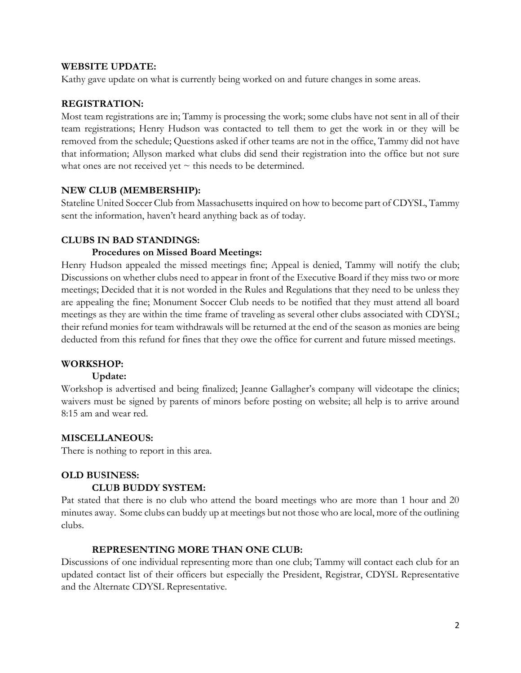#### **WEBSITE UPDATE:**

Kathy gave update on what is currently being worked on and future changes in some areas.

## **REGISTRATION:**

Most team registrations are in; Tammy is processing the work; some clubs have not sent in all of their team registrations; Henry Hudson was contacted to tell them to get the work in or they will be removed from the schedule; Questions asked if other teams are not in the office, Tammy did not have that information; Allyson marked what clubs did send their registration into the office but not sure what ones are not received yet  $\sim$  this needs to be determined.

## **NEW CLUB (MEMBERSHIP):**

Stateline United Soccer Club from Massachusetts inquired on how to become part of CDYSL, Tammy sent the information, haven't heard anything back as of today.

## **CLUBS IN BAD STANDINGS:**

#### **Procedures on Missed Board Meetings:**

Henry Hudson appealed the missed meetings fine; Appeal is denied, Tammy will notify the club; Discussions on whether clubs need to appear in front of the Executive Board if they miss two or more meetings; Decided that it is not worded in the Rules and Regulations that they need to be unless they are appealing the fine; Monument Soccer Club needs to be notified that they must attend all board meetings as they are within the time frame of traveling as several other clubs associated with CDYSL; their refund monies for team withdrawals will be returned at the end of the season as monies are being deducted from this refund for fines that they owe the office for current and future missed meetings.

## **WORKSHOP:**

#### **Update:**

Workshop is advertised and being finalized; Jeanne Gallagher's company will videotape the clinics; waivers must be signed by parents of minors before posting on website; all help is to arrive around 8:15 am and wear red.

#### **MISCELLANEOUS:**

There is nothing to report in this area.

# **OLD BUSINESS:**

#### **CLUB BUDDY SYSTEM:**

Pat stated that there is no club who attend the board meetings who are more than 1 hour and 20 minutes away. Some clubs can buddy up at meetings but not those who are local, more of the outlining clubs.

## **REPRESENTING MORE THAN ONE CLUB:**

Discussions of one individual representing more than one club; Tammy will contact each club for an updated contact list of their officers but especially the President, Registrar, CDYSL Representative and the Alternate CDYSL Representative.